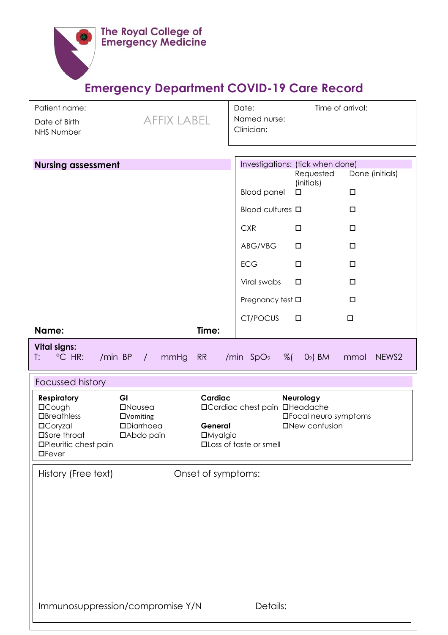

## **Emergency Department COVID-19 Care Record**

| Patient name:               |             | Date:                      | Time of arrival: |
|-----------------------------|-------------|----------------------------|------------------|
| Date of Birth<br>NHS Number | AFFIX LARFI | Named nurse:<br>Clinician: |                  |

| <b>Nursing assessment</b>                                                                                                                                                                                                                                          | Investigations: (tick when done)<br>Done (initials)<br>Requested                                                                             |
|--------------------------------------------------------------------------------------------------------------------------------------------------------------------------------------------------------------------------------------------------------------------|----------------------------------------------------------------------------------------------------------------------------------------------|
|                                                                                                                                                                                                                                                                    | (initials)<br>$\Box$<br><b>Blood panel</b><br>$\Box$                                                                                         |
|                                                                                                                                                                                                                                                                    | Blood cultures <b>D</b><br>$\Box$                                                                                                            |
|                                                                                                                                                                                                                                                                    | <b>CXR</b><br>$\Box$<br>□                                                                                                                    |
|                                                                                                                                                                                                                                                                    | ABG/VBG<br>$\Box$<br>$\Box$                                                                                                                  |
|                                                                                                                                                                                                                                                                    | <b>ECG</b><br>$\Box$<br>$\Box$                                                                                                               |
|                                                                                                                                                                                                                                                                    | Viral swabs<br>$\Box$<br>$\Box$                                                                                                              |
|                                                                                                                                                                                                                                                                    | $\Box$<br>Pregnancy test $\square$                                                                                                           |
|                                                                                                                                                                                                                                                                    | CT/POCUS<br>$\Box$<br>$\Box$                                                                                                                 |
| Time:<br>Name:                                                                                                                                                                                                                                                     |                                                                                                                                              |
| <b>Vital signs:</b><br>°C HR:<br>/min BP<br>$\frac{1}{2}$<br>mmHg<br><b>RR</b><br>T:                                                                                                                                                                               | $\%$ (<br>$O2$ ) BM<br>/min $SpO2$<br>NEWS2<br>mmol                                                                                          |
| Focussed history                                                                                                                                                                                                                                                   |                                                                                                                                              |
| GI<br>Cardiac<br><b>Respiratory</b><br><b>DCough</b><br><b>INausea</b><br>$\Box$ Breathless<br>$\Box$ Vomiting<br><b>DCoryzal</b><br><b>ODiarrhoea</b><br>General<br>□Sore throat<br>□Abdo pain<br><b>DMyalgia</b><br><b>OPleuritic chest pain</b><br>$\Box$ Fever | Neurology<br><b>OCardiac chest pain OHeadache</b><br><b>OFocal neuro symptoms</b><br><b>ONew confusion</b><br><b>QLoss of taste or smell</b> |
| History (Free text)<br>Onset of symptoms:                                                                                                                                                                                                                          |                                                                                                                                              |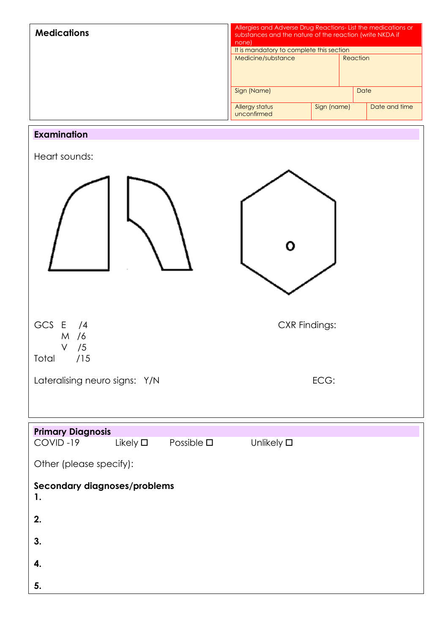| <b>Medications</b>                                 | Allergies and Adverse Drug Reactions-List the medications or<br>substances and the nature of the reaction (write NKDA if<br>none) |             |               |  |  |  |
|----------------------------------------------------|-----------------------------------------------------------------------------------------------------------------------------------|-------------|---------------|--|--|--|
|                                                    | It is mandatory to complete this section<br>Medicine/substance                                                                    |             | Reaction      |  |  |  |
|                                                    | Sign (Name)                                                                                                                       |             | Date          |  |  |  |
|                                                    | Allergy status<br>unconfirmed                                                                                                     | Sign (name) | Date and time |  |  |  |
| <b>Examination</b>                                 |                                                                                                                                   |             |               |  |  |  |
| Heart sounds:                                      |                                                                                                                                   |             |               |  |  |  |
|                                                    |                                                                                                                                   |             |               |  |  |  |
| GCS $E / 4$<br>M /6<br>/5<br>V<br>Total /15        | <b>CXR Findings:</b>                                                                                                              |             |               |  |  |  |
| Lateralising neuro signs: Y/N                      |                                                                                                                                   | ECG:        |               |  |  |  |
|                                                    |                                                                                                                                   |             |               |  |  |  |
| <b>Primary Diagnosis</b>                           |                                                                                                                                   |             |               |  |  |  |
| Likely $\square$<br>COVID-19<br>Possible $\square$ | Unlikely $\square$                                                                                                                |             |               |  |  |  |
| Other (please specify):                            |                                                                                                                                   |             |               |  |  |  |
| Secondary diagnoses/problems<br>1.                 |                                                                                                                                   |             |               |  |  |  |
| 2.                                                 |                                                                                                                                   |             |               |  |  |  |
| 3.                                                 |                                                                                                                                   |             |               |  |  |  |
| 4.                                                 |                                                                                                                                   |             |               |  |  |  |
| 5.                                                 |                                                                                                                                   |             |               |  |  |  |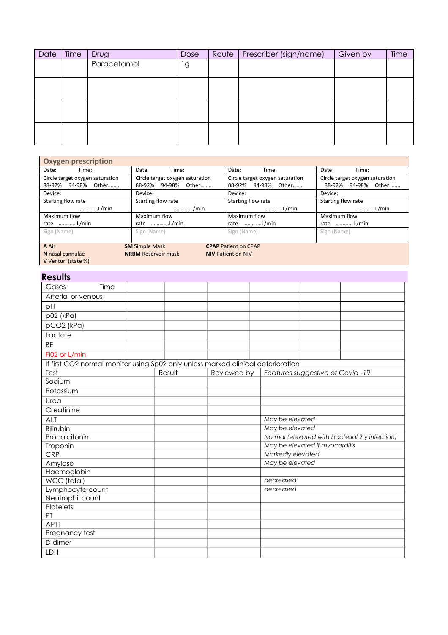| Date | Time | Drug        | <b>Dose</b> | Route | Prescriber (sign/name) | Given by | Time |
|------|------|-------------|-------------|-------|------------------------|----------|------|
|      |      | Paracetamol | lg          |       |                        |          |      |
|      |      |             |             |       |                        |          |      |
|      |      |             |             |       |                        |          |      |
|      |      |             |             |       |                        |          |      |
|      |      |             |             |       |                        |          |      |
|      |      |             |             |       |                        |          |      |
|      |      |             |             |       |                        |          |      |
|      |      |             |             |       |                        |          |      |

| <b>Oxygen prescription</b>                                                  |                                          |                                 |                                 |  |  |
|-----------------------------------------------------------------------------|------------------------------------------|---------------------------------|---------------------------------|--|--|
| Time:<br>Date:                                                              | Date:<br>Time:                           | Date:<br>Time:                  | Date:<br>Time:                  |  |  |
| Circle target oxygen saturation<br>Circle target oxygen saturation          |                                          | Circle target oxygen saturation | Circle target oxygen saturation |  |  |
| 94-98%<br>Other………<br>88-92%                                                | 88-92% 94-98%<br>Other                   | 88-92% 94-98% Other             | 94-98%<br>Other<br>88-92%       |  |  |
| Device:                                                                     | Device:                                  | Device:                         | Device:                         |  |  |
| Starting flow rate                                                          | Starting flow rate<br>Starting flow rate |                                 | Starting flow rate              |  |  |
| L/min<br>L/min                                                              |                                          | L/min                           | L/min                           |  |  |
| Maximum flow<br>Maximum flow                                                |                                          | Maximum flow                    | Maximum flow                    |  |  |
| rate L/min<br>rate L/min                                                    |                                          | rate L/min                      | rate L/min                      |  |  |
| Sign (Name)<br>Sign (Name)                                                  |                                          | Sign (Name)                     | Sign (Name)                     |  |  |
|                                                                             |                                          |                                 |                                 |  |  |
| A Air<br><b>SM</b> Simple Mask<br><b>CPAP Patient on CPAP</b>               |                                          |                                 |                                 |  |  |
| <b>NRBM</b> Reservoir mask<br>N nasal cannulae<br><b>NIV Patient on NIV</b> |                                          |                                 |                                 |  |  |
| V Venturi (state %)                                                         |                                          |                                 |                                 |  |  |

## **Results**

| Gases              | Time |        |                                                                                  |  |                                                |  |  |
|--------------------|------|--------|----------------------------------------------------------------------------------|--|------------------------------------------------|--|--|
| Arterial or venous |      |        |                                                                                  |  |                                                |  |  |
| pH                 |      |        |                                                                                  |  |                                                |  |  |
| p02 (kPa)          |      |        |                                                                                  |  |                                                |  |  |
| pCO2 (kPa)         |      |        |                                                                                  |  |                                                |  |  |
| Lactate            |      |        |                                                                                  |  |                                                |  |  |
| <b>BE</b>          |      |        |                                                                                  |  |                                                |  |  |
| Fi02 or L/min      |      |        |                                                                                  |  |                                                |  |  |
|                    |      |        | If first CO2 normal monitor using Sp02 only unless marked clinical deterioration |  |                                                |  |  |
| Test               |      | Result | Reviewed by                                                                      |  | Features suggestive of Covid-19                |  |  |
| Sodium             |      |        |                                                                                  |  |                                                |  |  |
| Potassium          |      |        |                                                                                  |  |                                                |  |  |
| Urea               |      |        |                                                                                  |  |                                                |  |  |
| Creatinine         |      |        |                                                                                  |  |                                                |  |  |
| <b>ALT</b>         |      |        |                                                                                  |  | May be elevated                                |  |  |
| Bilirubin          |      |        |                                                                                  |  | May be elevated                                |  |  |
| Procalcitonin      |      |        |                                                                                  |  | Normal (elevated with bacterial 2ry infection) |  |  |
| Troponin           |      |        |                                                                                  |  | May be elevated if myocarditis                 |  |  |
| CRP                |      |        |                                                                                  |  | Markedly elevated                              |  |  |
| Amylase            |      |        |                                                                                  |  | May be elevated                                |  |  |
| Haemoglobin        |      |        |                                                                                  |  |                                                |  |  |
| WCC (total)        |      |        |                                                                                  |  | decreased                                      |  |  |
| Lymphocyte count   |      |        |                                                                                  |  | decreased                                      |  |  |
| Neutrophil count   |      |        |                                                                                  |  |                                                |  |  |
| Platelets          |      |        |                                                                                  |  |                                                |  |  |
| PT<br><b>APTT</b>  |      |        |                                                                                  |  |                                                |  |  |
|                    |      |        |                                                                                  |  |                                                |  |  |
| Pregnancy test     |      |        |                                                                                  |  |                                                |  |  |
| D dimer            |      |        |                                                                                  |  |                                                |  |  |
| LDH                |      |        |                                                                                  |  |                                                |  |  |